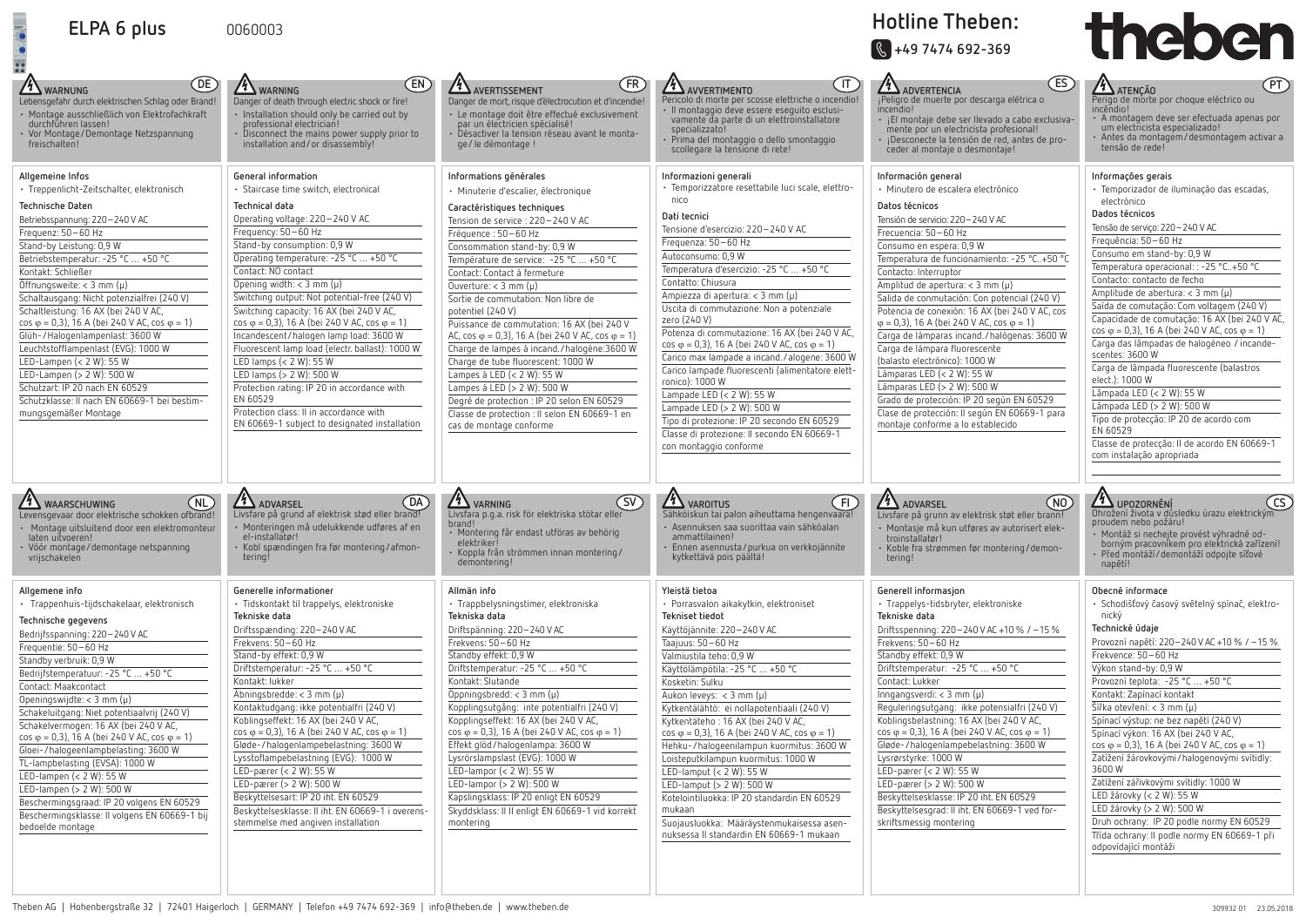



| -siva-<br>$-010$          | <b>7 ATENÇÃO</b><br>۲I.<br>Perigo de morte por choque eléctrico ou<br>incëndio.<br>A montagem deve ser efectuada apenas por<br>um electricista especializado!<br>Antes da montagem/desmontagem activar a<br>tensão de rede!                                                                                                                                                                                                                                                                                                                                                                                                                                                                                                                                                                           |
|---------------------------|-------------------------------------------------------------------------------------------------------------------------------------------------------------------------------------------------------------------------------------------------------------------------------------------------------------------------------------------------------------------------------------------------------------------------------------------------------------------------------------------------------------------------------------------------------------------------------------------------------------------------------------------------------------------------------------------------------------------------------------------------------------------------------------------------------|
| 0 °C<br>COS<br>0 W<br>ara | Informações gerais<br>· Temporizador de iluminação das escadas,<br>electrónico<br>Dados técnicos<br>Tensão de serviço: 220-240 V AC<br>Frequência: 50-60 Hz<br>Consumo em stand-by: 0,9 W<br>Temperatura operacional: : -25 °C+50 °C<br>Contacto: contacto de fecho<br>Amplitude de abertura: < 3 mm (µ)<br>Saída de comutação: Com voltagem (240 V)<br>Capacidade de comutação: 16 AX (bei 240 V AC,<br>$cos \varphi = 0.3$ ), 16 A (bei 240 V AC, cos $\varphi = 1$ )<br>Carga das lâmpadas de halogéneo / incande-<br>scentes: 3600 W<br>Carga de lâmpada fluorescente (balastros<br>elect.): 1000 W<br>Lâmpada LED (< 2 W): 55 W<br>Lâmpada LED (> 2 W): 500 W<br>Tipo de protecção: IP 20 de acordo com<br>EN 60529<br>Classe de protecção: Il de acordo EN 60669-1<br>com instalação apropriada |
| NO<br>!חר<br>ek-<br>-ח    | <b>UPOZORNÉNÍ</b><br>Ohrožení života v důsledku úrazu elektrickým<br>proudem nebo požáru!<br>Montáž si nechejte provést výhradně od-<br>borným pracovníkem pro elektrická zařízení!<br>Před montáží/demontáží odpojte síťové<br>napětí!                                                                                                                                                                                                                                                                                                                                                                                                                                                                                                                                                               |
| ℅<br>1)                   | Obecné informace<br>· Schodišťový časový světelný spínač, elektro-<br>nický<br>Technické údaje<br>Provozní napětí: 220–240 V AC +10 % / –15 %<br>Frekvence: 50-60 Hz<br>Výkon stand-by: 0,9 W<br>Provozní teplota: -25 °C  +50 °C<br>Kontakt: Zapínací kontakt<br>Šířka otevření: < 3 mm (μ)<br>Spínací výstup: ne bez napětí (240 V)<br>Spínací výkon: 16 AX (bei 240 V AC,                                                                                                                                                                                                                                                                                                                                                                                                                          |
|                           | $cos \varphi = 0.3$ ), 16 A (bei 240 V AC, cos $\varphi = 1$ )<br>Zatížení žárovkovými/halogenovými svítidly:                                                                                                                                                                                                                                                                                                                                                                                                                                                                                                                                                                                                                                                                                         |

| (DE)<br><b>4 WARNUNG</b><br>Lebensgefahr durch elektrischen Schlag oder Brand!<br>· Montage ausschließlich von Elektrofachkraft<br>durchführen lassen!<br>· Vor Montage/Demontage Netzspannung<br>freischalten!<br>Allgemeine Infos<br>· Treppenlicht-Zeitschalter, elektronisch<br>Technische Daten<br>Betriebsspannung: 220-240 V AC<br>Frequenz: 50-60 Hz<br>Stand-by Leistung: 0,9 W<br>Betriebstemperatur: -25 °C  +50 °C<br>Kontakt: Schließer                                                                                                                                                                                                                                              | (EN)<br><b>11 WARNING</b><br>Danger of death through electric shock or fire!<br>· Installation should only be carried out by<br>professional electrician!<br>$\cdot$ Disconnect the mains power supply prior to<br>installation and/or disassembly!<br>General information<br>· Staircase time switch, electronical<br>Technical data<br>Operating voltage: 220-240 V AC<br>Frequency: 50-60 Hz<br>Stand-by consumption: 0,9 W<br>Operating temperature: -25 °C  +50 °C<br>Contact: NO contact                                                                                                                                                                                             | AVERTISSEMENT<br>(FR)<br>Danger de mort, risque d'électrocution et d'incendie!<br>· Le montage doit être effectué exclusivement<br>par un électricien spécialisé!<br>· Désactiver la tension réseau avant le monta-<br>ge/le démontage !<br>Informations générales<br>· Minuterie d'escalier, électronique<br>Caractéristiques techniques<br>Tension de service : 220-240 V AC<br>Fréquence : 50-60 Hz<br>Consommation stand-by: 0,9 W<br>Température de service: -25 °C  +50 °C<br>Contact: Contact à fermeture                                                                                                                                   | $(\sf{IT})$<br>AVVERTIMENTO<br>Pericolo di morte per scosse elettriche o incendio!<br>· Il montaggio deve essere eseguito esclusi-<br>vamente da parte di un elettroinstallatore<br>specializzato!<br>Prima del montaggio o dello smontaggio<br>scollegare la tensione di rete!<br>Informazioni generali<br>· Temporizzatore resettabile luci scale, elettro-<br>nico<br>Dati tecnici<br>Tensione d'esercizio: 220-240 V AC<br>Frequenza: 50-60 Hz<br>Autoconsumo: 0,9 W<br>Temperatura d'esercizio: -25 °C  +50 °C<br>Contatto: Chiusura                                                                                                                                                                      | ES)<br><b>4 ADVERTENCIA</b><br>¡Peligro de muerte por descarga elétrica o<br>incendio!<br>· ¡El montaje debe ser llevado a cabo exclusiva-<br>mente por un electricista profesional!<br>¡Desconecte la tensión de red, antes de pro-<br>ceder al montaje o desmontaje!<br>Información general<br>· Minutero de escalera electrónico<br>Datos técnicos<br>Tensión de servicio: 220 - 240 V AC<br>Frecuencia: 50-60 Hz<br>Consumo en espera: 0,9 W<br>Temperatura de funcionamiento: -25 °C+50 °C<br>Contacto: Interruptor                                                                                                                                                             | $\sqrt{PI}$<br><b>4</b> ATENÇÃO<br>Perigo de morte por choque eléctrico ou<br>incêndio!<br>· A montagem deve ser efectuada apenas por<br>um electricista especializado!<br>Antes da montagem/desmontagem activar a<br>tensão de rede!<br>Informações gerais<br>· Temporizador de iluminação das escadas,<br>electrónico<br>Dados técnicos<br>Tensão de serviço: 220-240 V AC<br>Frequência: 50-60 Hz<br>Consumo em stand-by: 0,9 W<br>Temperatura operacional: : -25 °C+50 °C<br>Contacto: contacto de fecho                                                                                                                                                                                                                       |
|---------------------------------------------------------------------------------------------------------------------------------------------------------------------------------------------------------------------------------------------------------------------------------------------------------------------------------------------------------------------------------------------------------------------------------------------------------------------------------------------------------------------------------------------------------------------------------------------------------------------------------------------------------------------------------------------------|--------------------------------------------------------------------------------------------------------------------------------------------------------------------------------------------------------------------------------------------------------------------------------------------------------------------------------------------------------------------------------------------------------------------------------------------------------------------------------------------------------------------------------------------------------------------------------------------------------------------------------------------------------------------------------------------|----------------------------------------------------------------------------------------------------------------------------------------------------------------------------------------------------------------------------------------------------------------------------------------------------------------------------------------------------------------------------------------------------------------------------------------------------------------------------------------------------------------------------------------------------------------------------------------------------------------------------------------------------|----------------------------------------------------------------------------------------------------------------------------------------------------------------------------------------------------------------------------------------------------------------------------------------------------------------------------------------------------------------------------------------------------------------------------------------------------------------------------------------------------------------------------------------------------------------------------------------------------------------------------------------------------------------------------------------------------------------|--------------------------------------------------------------------------------------------------------------------------------------------------------------------------------------------------------------------------------------------------------------------------------------------------------------------------------------------------------------------------------------------------------------------------------------------------------------------------------------------------------------------------------------------------------------------------------------------------------------------------------------------------------------------------------------|------------------------------------------------------------------------------------------------------------------------------------------------------------------------------------------------------------------------------------------------------------------------------------------------------------------------------------------------------------------------------------------------------------------------------------------------------------------------------------------------------------------------------------------------------------------------------------------------------------------------------------------------------------------------------------------------------------------------------------|
| Öffnungsweite: < 3 mm $(\mu)$<br>Schaltausgang: Nicht potenzialfrei (240 V)<br>Schaltleistung: 16 AX (bei 240 V AC,<br>$\cos \varphi = 0.3$ , 16 A (bei 240 V AC, $\cos \varphi = 1$ )<br>Glüh-/Halogenlampenlast: 3600 W<br>Leuchtstofflampenlast (EVG): 1000 W<br>LED-Lampen $(< 2 W)$ : 55 W<br>LED-Lampen (> 2 W): 500 W<br>Schutzart: IP 20 nach EN 60529<br>Schutzklasse: II nach EN 60669-1 bei bestim-<br>mungsgemäßer Montage                                                                                                                                                                                                                                                            | Opening width: $<$ 3 mm ( $\mu$ )<br>Switching output: Not potential-free (240 V)<br>Switching capacity: 16 AX (bei 240 V AC,<br>$\cos \varphi = 0.3$ ), 16 A (bei 240 V AC, cos $\varphi = 1$ )<br>Incandescent/halogen lamp load: 3600 W<br>Fluorescent lamp load (electr. ballast): 1000 W<br>LED lamps (< 2 W): 55 W<br>LED lamps (> 2 W): 500 W<br>Protection rating: IP 20 in accordance with<br>EN 60529<br>Protection class: II in accordance with<br>EN 60669-1 subject to designated installation                                                                                                                                                                                | Ouverture: $<$ 3 mm ( $\mu$ )<br>Sortie de commutation: Non libre de<br>potentiel (240 V)<br>Puissance de commutation: 16 AX (bei 240 V<br>AC, cos $\varphi$ = 0,3), 16 A (bei 240 V AC, cos $\varphi$ = 1)<br>Charge de lampes à incand./halogène:3600 W<br>Charge de tube fluorescent: 1000 W<br>Lampes à LED (< 2 W): 55 W<br>Lampes à LED (> 2 W): 500 W<br>Degré de protection : IP 20 selon EN 60529<br>Classe de protection : Il selon EN 60669-1 en<br>cas de montage conforme                                                                                                                                                             | Ampiezza di apertura: < 3 mm (µ)<br>Uscita di commutazione: Non a potenziale<br>zero (240 V)<br>Potenza di commutazione: 16 AX (bei 240 V AC,<br>$\cos \varphi = 0.3$ , 16 A (bei 240 V AC, $\cos \varphi = 1$ )<br>Carico max lampade a incand./alogene: 3600 W<br>Carico lampade fluorescenti (alimentatore elett-<br>ronico): 1000 W<br>Lampade LED $(< 2 W)$ : 55 W<br>Lampade LED (> 2 W): 500 W<br>Tipo di protezione: IP 20 secondo EN 60529<br>Classe di protezione: Il secondo EN 60669-1<br>con montaggio conforme                                                                                                                                                                                   | Amplitud de apertura: $<$ 3 mm ( $\mu$ )<br>Salida de conmutación: Con potencial (240 V)<br>Potencia de conexión: 16 AX (bei 240 V AC, cos<br>$\varphi = 0.3$ ), 16 A (bei 240 V AC, cos $\varphi = 1$ )<br>Carga de lámparas incand. / halógenas: 3600 W<br>Carga de lámpara fluorescente<br>(balasto electrónico): 1000 W<br>Lámparas LED $(< 2 W)$ : 55 W<br>Lámparas LED (> 2 W): 500 W<br>Grado de protección: IP 20 según EN 60529<br>Clase de protección: Il según EN 60669-1 para<br>montaje conforme a lo establecido                                                                                                                                                       | Amplitude de abertura: < $3 \text{ mm} (\mu)$<br>Saída de comutação: Com voltagem (240 V)<br>Capacidade de comutação: 16 AX (bei 240 V AO<br>$\cos \varphi = 0.3$ ), 16 A (bei 240 V AC, cos $\varphi = 1$ )<br>Carga das lâmpadas de halogéneo / incande-<br>scentes: 3600 W<br>Carga de lâmpada fluorescente (balastros<br>elect.): 1000 W<br>Lâmpada LED (< 2 W): 55 W<br>Lâmpada LED (> 2 W): 500 W<br>Tipo de protecção: IP 20 de acordo com<br>EN 60529<br>Classe de protecção: Il de acordo EN 60669-1<br>com instalação apropriada                                                                                                                                                                                         |
| <b>14 WAARSCHUWING</b><br>(ML)<br>Levensgevaar door elektrische schokken ofbrand!<br>· Montage uitsluitend door een elektromonteur<br>laten uitvoeren!<br>· Vóór montage/demontage netspanning<br>vrijschakelen                                                                                                                                                                                                                                                                                                                                                                                                                                                                                   | (DA)<br><b>11</b> ADVARSEL<br>Livsfare på grund af elektrisk stød eller brand!<br>· Monteringen må udelukkende udføres af en<br>el-installatør!<br>· Kobl spændingen fra før montering/afmon-<br>tering!                                                                                                                                                                                                                                                                                                                                                                                                                                                                                   | <b>4</b> VARNING<br>(SV)<br>Livsfara p.g.a. risk för elektriska stötar eller<br>brand!<br>· Montering får endast utföras av behörig<br>elektriker<br>· Koppla från strömmen innan montering/<br>demontering!                                                                                                                                                                                                                                                                                                                                                                                                                                       | <b>4 VAROITUS</b><br>(FI)<br>Sähköiskun tai palon aiheuttama hengenvaara!<br>· Asennuksen saa suorittaa vain sähköalan<br>ammattilainen!<br>· Ennen asennusta/purkua on verkkojännite<br>kytkettävä pois päältä!                                                                                                                                                                                                                                                                                                                                                                                                                                                                                               | <b>14</b> ADVARSEL<br>(MO)<br>Livsfare på grunn av elektrisk støt eller brann!<br>· Montasje må kun utføres av autorisert elek-<br>troinstallatør!<br>· Koble fra strømmen før montering/demon-<br>tering!                                                                                                                                                                                                                                                                                                                                                                                                                                                                           | 4 UPOZORNĚNÍ<br>$\overline{\mathsf{C}}$<br>Ohrožení života v důsledku úrazu elektrickým<br>proudem nebo požáru!<br>· Montáž si nechejte provést výhradně od-<br>borným pracovníkem pro elektrická zařízení!<br>· Před montáží/demontáží odpojte síťové<br>napětí!                                                                                                                                                                                                                                                                                                                                                                                                                                                                  |
| Allgemene info<br>· Trappenhuis-tijdschakelaar, elektronisch<br>Technische gegevens<br>Bedrijfsspanning: 220-240 V AC<br>Frequentie: 50-60 Hz<br>Standby verbruik: 0,9 W<br>Bedrijfstemperatuur: -25 °C  +50 °C<br>Contact: Maakcontact<br>Openingswijdte: $<$ 3 mm ( $\mu$ )<br>Schakeluitgang: Niet potentiaalvrij (240 V)<br>Schakelvermogen: 16 AX (bei 240 V AC,<br>$\cos \varphi = 0.3$ , 16 A (bei 240 V AC, $\cos \varphi = 1$ )<br>Gloei-/halogeenlampbelasting: 3600 W<br>TL-lampbelasting (EVSA): 1000 W<br>LED-lampen $(< 2 W)$ : 55 W<br>LED-lampen (> 2 W): 500 W<br>Beschermingsgraad: IP 20 volgens EN 60529<br>Beschermingsklasse: Il volgens EN 60669-1 bij<br>bedoelde montage | Generelle informationer<br>· Tidskontakt til trappelys, elektroniske<br>Tekniske data<br>Driftsspænding: 220-240 V AC<br>Frekvens: 50-60 Hz<br>Stand-by effekt: 0,9 W<br>Driftstemperatur: -25 °C  +50 °C<br>Kontakt: lukker<br>Åbningsbredde: < 3 mm (µ)<br>Kontaktudgang: ikke potentialfri (240 V)<br>Koblingseffekt: 16 AX (bei 240 V AC,<br>$\cos \varphi = 0.3$ , 16 A (bei 240 V AC, cos $\varphi = 1$ )<br>Gløde-/halogenlampebelastning: 3600 W<br>Lysstoflampebelastning (EVG): 1000 W<br>LED-pærer (< 2 W): 55 W<br>LED-pærer (> 2 W): 500 W<br>Beskyttelsesart: IP 20 iht. EN 60529<br>Beskyttelsesklasse: II iht. EN 60669-1 i overens-<br>stemmelse med angiven installation | Allmän info<br>· Trappbelysningstimer, elektroniska<br>Tekniska data<br>Driftspänning: 220-240 V AC<br>Frekvens: 50-60 Hz<br>Standby effekt: 0,9 W<br>Driftstemperatur: -25 °C  +50 °C<br>Kontakt: Slutande<br>$Oppinqsbredd: < 3$ mm (µ)<br>Kopplingsutgång: inte potentialfri (240 V)<br>Kopplingseffekt: 16 AX (bei 240 V AC,<br>$\cos \varphi = 0.3$ , 16 A (bei 240 V AC, $\cos \varphi = 1$ )<br>Effekt glöd/halogenlampa: 3600 W<br>Lysrörslampslast (EVG): 1000 W<br>LED-lampor $(< 2 W)$ : 55 W<br>LED-lampor ( $> 2$ W): 500 W<br>Kapslingsklass: IP 20 enligt EN 60529<br>Skyddsklass: II II enligt EN 60669-1 vid korrekt<br>montering | Yleistä tietoa<br>· Porrasvalon aikakytkin, elektroniset<br>Tekniset tiedot<br>Käyttöjännite: 220-240 V AC<br>Taajuus: 50 - 60 Hz<br>Valmiustila teho: 0,9 W<br>Käyttölämpötila: -25 °C  +50 °C<br>Kosketin: Sulku<br>Aukon leveys: $<$ 3 mm ( $\mu$ )<br>Kytkentälähtö: ei nollapotentiaali (240 V)<br>Kytkentäteho: 16 AX (bei 240 V AC,<br>$\cos \varphi = 0.3$ ), 16 A (bei 240 V AC, cos $\varphi = 1$ )<br>Hehku-/halogeenilampun kuormitus: 3600 W<br>Loisteputkilampun kuormitus: 1000 W<br>LED-lamput $(< 2 W)$ : 55 W<br>LED-lamput (> 2 W): 500 W<br>Kotelointiluokka: IP 20 standardin EN 60529<br>mukaan<br>Suojausluokka: Määräystenmukaisessa asen-<br>nuksessa II standardin EN 60669-1 mukaan | Generell informasjon<br>· Trappelys-tidsbryter, elektroniske<br>Tekniske data<br>Driftsspenning: 220-240 V AC +10 % / -15 %<br>Frekvens: 50-60 Hz<br>Standby effekt: 0,9 W<br>Driftstemperatur: -25 °C  +50 °C<br>Contact: Lukker<br>Inngangsverdi: $<$ 3 mm ( $\mu$ )<br>Reguleringsutgang: ikke potensialfri (240 V)<br>Koblingsbelastning: 16 AX (bei 240 V AC,<br>$\cos \varphi = 0.3$ ), 16 A (bei 240 V AC, cos $\varphi = 1$ )<br>Gløde-/halogenlampebelastning: 3600 W<br>Lysrørstyrke: 1000 W<br>LED-pærer (< 2 W): 55 W<br>LED-pærer (> 2 W): 500 W<br>Beskyttelsesklasse: IP 20 iht. EN 60529<br>Beskyttelsesgrad: II iht. EN 60669-1 ved for-<br>skriftsmessig montering | Obecné informace<br>· Schodišťový časový světelný spínač, elektro-<br>nický<br>Technické údaje<br>Provozní napětí: 220-240 V AC +10 % / -15 %<br>Frekvence: 50-60 Hz<br>Výkon stand-by: 0,9 W<br>Provozní teplota: -25 °C  +50 °C<br>Kontakt: Zapínací kontakt<br>Šířka otevření: < 3 mm $(\mu)$<br>Spínací výstup: ne bez napětí (240 V)<br>Spínací výkon: 16 AX (bei 240 V AC,<br>$\cos \varphi = 0.3$ , 16 A (bei 240 V AC, cos $\varphi = 1$ )<br>Zatížení žárovkovými/halogenovými svítidly:<br>3600W<br>Zatížení zářivkovými svítidly: 1000 W<br>LED žárovky (< 2 W): 55 W<br>LED žárovky (> 2 W): 500 W<br>Druh ochrany: IP 20 podle normy EN 60529<br>Třída ochrany: Il podle normy EN 60669-1 při<br>odpovídající montáži |

## **ELPA 6 plus** 0060003

## **Hotline Theben:**

**J +49 7474 692-369**